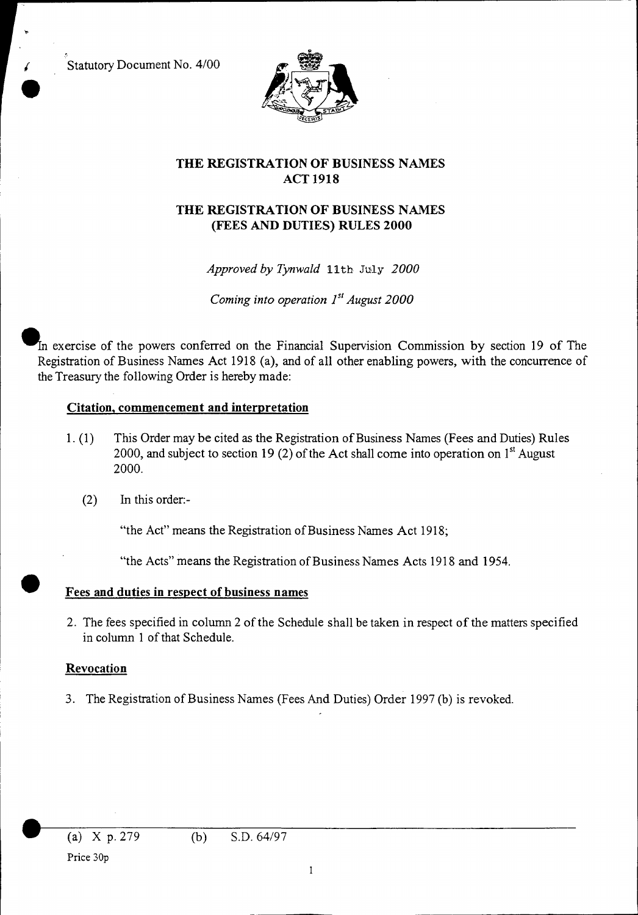Statutory Document No. 4/00



# **THE REGISTRATION OF BUSINESS NAMES ACT 1918**

# **THE REGISTRATION OF BUSINESS NAMES (FEES AND DUTIES) RULES 2000**

*Approved by Tynwald* 11th July *2000* 

*Coming into operation 1<sup>st</sup> August 2000* 

In exercise of the powers conferred on the Financial Supervision Commission by section 19 of The Registration of Business Names Act 1918 (a), and of all other enabling powers, with the concurrence of the Treasury the following Order is hereby made:

## **Citation, commencement and interpretation**

- This Order may be cited as the Registration of Business Names (Fees and Duties) Rules  $1. (1)$ 2000, and subject to section 19 (2) of the Act shall come into operation on  $1<sup>st</sup>$  August 2000.
	- (2) In this order:-

"the Act" means the Registration of Business Names Act 1918;

"the Acts" means the Registration of Business Names Acts 1918 and 1954. • **Fees and duties in respect of business names** 

2. The fees specified in column 2 of the Schedule shall be taken in respect of the matters specified in column 1 of that Schedule.

#### **Revocation**

3. The Registration of Business Names (Fees And Duties) Order 1997 (b) is revoked.